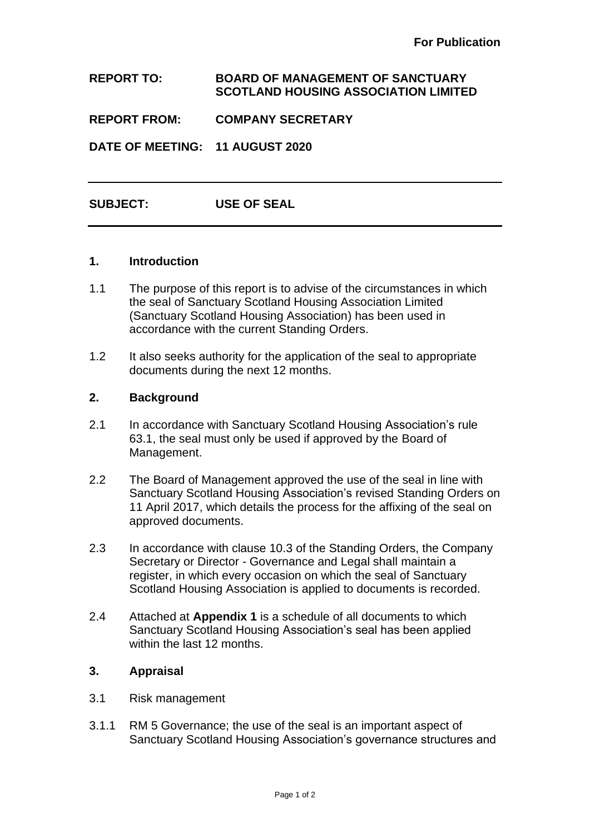# **REPORT TO: BOARD OF MANAGEMENT OF SANCTUARY SCOTLAND HOUSING ASSOCIATION LIMITED**

**REPORT FROM: COMPANY SECRETARY**

**DATE OF MEETING: 11 AUGUST 2020**

**SUBJECT: USE OF SEAL**

### **1. Introduction**

- 1.1 The purpose of this report is to advise of the circumstances in which the seal of Sanctuary Scotland Housing Association Limited (Sanctuary Scotland Housing Association) has been used in accordance with the current Standing Orders.
- 1.2 It also seeks authority for the application of the seal to appropriate documents during the next 12 months.

### **2. Background**

- 2.1 In accordance with Sanctuary Scotland Housing Association's rule 63.1, the seal must only be used if approved by the Board of Management.
- 2.2 The Board of Management approved the use of the seal in line with Sanctuary Scotland Housing Association's revised Standing Orders on 11 April 2017, which details the process for the affixing of the seal on approved documents.
- 2.3 In accordance with clause 10.3 of the Standing Orders, the Company Secretary or Director - Governance and Legal shall maintain a register, in which every occasion on which the seal of Sanctuary Scotland Housing Association is applied to documents is recorded.
- 2.4 Attached at **Appendix 1** is a schedule of all documents to which Sanctuary Scotland Housing Association's seal has been applied within the last 12 months.

## **3. Appraisal**

- 3.1 Risk management
- 3.1.1 RM 5 Governance; the use of the seal is an important aspect of Sanctuary Scotland Housing Association's governance structures and